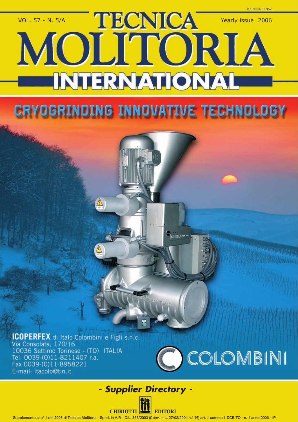

## **CRYOGRINDING INNOVATIVE TECHNOLOGY**

**C**<sub>press</sub>

**ICOPERFEX** di Italo Colombini e Figli s.n.c. Via Consolata, 170/16 10036 Settimo Torinese - (TO) ITALIA Tel. 0039-(0)11-8211407 r.a. Fax 0039-(0)11-8958221 E-mail: itacolo@tin.it



## *- Supplier Directory -*

**CHIRIOTTI EDITORI**

Supplemento al n° 1 del 2006 di Tecnica Molitoria - Sped. in A.P. - D.L. 353/2003 (Conv. in L. 27/02/2004 n.° 46) art. 1 comma 1 DCB TO - n. 1 anno 2006 - IP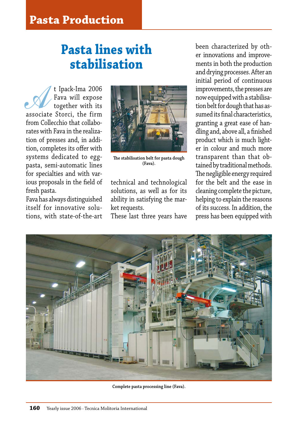## **Pasta lines with stabilisation**

A t Ipack-Ima 2006 associate Storci, the firm Fava will expose together with its from Collecchio that collaborates with Fava in the realization of presses and, in addition, completes its offer with systems dedicated to eggpasta, semi-automatic lines for specialties and with various proposals in the field of fresh pasta.

Fava has always distinguished itself for innovative solutions, with state-of-the-art



**The stabilisation belt for pasta dough (Fava).**

technical and technological solutions, as well as for its ability in satisfying the market requests.

These last three years have

been characterized by other innovations and improvements in both the production and drying processes. After an initial period of continuous improvements, the presses are now equipped with a stabilisation belt for dough that has assumed its final characteristics, granting a great ease of handling and, above all, a finished product which is much lighter in colour and much more transparent than that obtained by traditional methods. The negligible energy required for the belt and the ease in cleaning complete the picture, helping to explain the reasons of its success. In addition, the press has been equipped with



**Complete pasta processing line (Fava).**